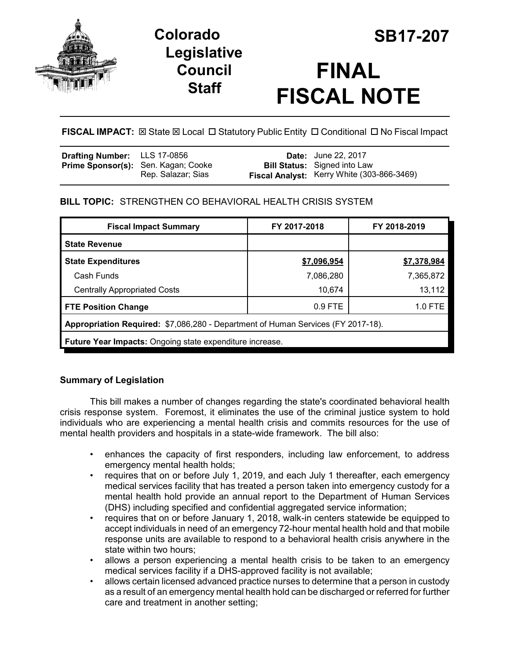

## **Legislative Council Staff**



# **FINAL FISCAL NOTE**

## **FISCAL IMPACT:** ⊠ State ⊠ Local □ Statutory Public Entity □ Conditional □ No Fiscal Impact

| <b>Drafting Number:</b> LLS 17-0856 |                                                           | <b>Date:</b> June 22, 2017                                                        |
|-------------------------------------|-----------------------------------------------------------|-----------------------------------------------------------------------------------|
|                                     | Prime Sponsor(s): Sen. Kagan; Cooke<br>Rep. Salazar; Sias | <b>Bill Status:</b> Signed into Law<br>Fiscal Analyst: Kerry White (303-866-3469) |

## **BILL TOPIC:** STRENGTHEN CO BEHAVIORAL HEALTH CRISIS SYSTEM

| <b>Fiscal Impact Summary</b>                                                     | FY 2017-2018 | FY 2018-2019 |  |  |  |
|----------------------------------------------------------------------------------|--------------|--------------|--|--|--|
| <b>State Revenue</b>                                                             |              |              |  |  |  |
| <b>State Expenditures</b>                                                        | \$7,096,954  | \$7,378,984  |  |  |  |
| Cash Funds                                                                       | 7,086,280    | 7,365,872    |  |  |  |
| <b>Centrally Appropriated Costs</b>                                              | 10,674       | 13,112       |  |  |  |
| <b>FTE Position Change</b>                                                       | $0.9$ FTE    | $1.0$ FTE    |  |  |  |
| Appropriation Required: \$7,086,280 - Department of Human Services (FY 2017-18). |              |              |  |  |  |
| <b>Future Year Impacts:</b> Ongoing state expenditure increase.                  |              |              |  |  |  |

## **Summary of Legislation**

This bill makes a number of changes regarding the state's coordinated behavioral health crisis response system. Foremost, it eliminates the use of the criminal justice system to hold individuals who are experiencing a mental health crisis and commits resources for the use of mental health providers and hospitals in a state-wide framework. The bill also:

- enhances the capacity of first responders, including law enforcement, to address emergency mental health holds;
- requires that on or before July 1, 2019, and each July 1 thereafter, each emergency medical services facility that has treated a person taken into emergency custody for a mental health hold provide an annual report to the Department of Human Services (DHS) including specified and confidential aggregated service information;
- requires that on or before January 1, 2018, walk-in centers statewide be equipped to accept individuals in need of an emergency 72-hour mental health hold and that mobile response units are available to respond to a behavioral health crisis anywhere in the state within two hours;
- allows a person experiencing a mental health crisis to be taken to an emergency medical services facility if a DHS-approved facility is not available;
- allows certain licensed advanced practice nurses to determine that a person in custody as a result of an emergency mental health hold can be discharged or referred for further care and treatment in another setting;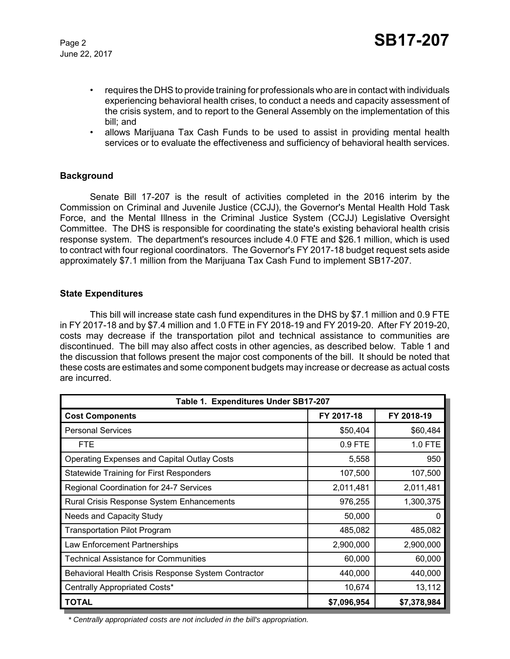- requires the DHS to provide training for professionals who are in contact with individuals experiencing behavioral health crises, to conduct a needs and capacity assessment of the crisis system, and to report to the General Assembly on the implementation of this bill; and
- allows Marijuana Tax Cash Funds to be used to assist in providing mental health services or to evaluate the effectiveness and sufficiency of behavioral health services.

#### **Background**

Senate Bill 17-207 is the result of activities completed in the 2016 interim by the Commission on Criminal and Juvenile Justice (CCJJ), the Governor's Mental Health Hold Task Force, and the Mental Illness in the Criminal Justice System (CCJJ) Legislative Oversight Committee. The DHS is responsible for coordinating the state's existing behavioral health crisis response system. The department's resources include 4.0 FTE and \$26.1 million, which is used to contract with four regional coordinators. The Governor's FY 2017-18 budget request sets aside approximately \$7.1 million from the Marijuana Tax Cash Fund to implement SB17-207.

#### **State Expenditures**

This bill will increase state cash fund expenditures in the DHS by \$7.1 million and 0.9 FTE in FY 2017-18 and by \$7.4 million and 1.0 FTE in FY 2018-19 and FY 2019-20. After FY 2019-20, costs may decrease if the transportation pilot and technical assistance to communities are discontinued. The bill may also affect costs in other agencies, as described below. Table 1 and the discussion that follows present the major cost components of the bill. It should be noted that these costs are estimates and some component budgets may increase or decrease as actual costs are incurred.

| Table 1. Expenditures Under SB17-207                |             |             |  |  |  |
|-----------------------------------------------------|-------------|-------------|--|--|--|
| <b>Cost Components</b>                              | FY 2017-18  | FY 2018-19  |  |  |  |
| <b>Personal Services</b>                            | \$50,404    | \$60,484    |  |  |  |
| <b>FTE</b>                                          | $0.9$ FTE   | 1.0 FTE     |  |  |  |
| <b>Operating Expenses and Capital Outlay Costs</b>  | 5,558       | 950         |  |  |  |
| <b>Statewide Training for First Responders</b>      | 107,500     | 107,500     |  |  |  |
| Regional Coordination for 24-7 Services             | 2,011,481   | 2,011,481   |  |  |  |
| Rural Crisis Response System Enhancements           | 976,255     | 1,300,375   |  |  |  |
| <b>Needs and Capacity Study</b>                     | 50,000      |             |  |  |  |
| <b>Transportation Pilot Program</b>                 | 485,082     | 485,082     |  |  |  |
| Law Enforcement Partnerships                        | 2,900,000   | 2,900,000   |  |  |  |
| <b>Technical Assistance for Communities</b>         | 60,000      | 60,000      |  |  |  |
| Behavioral Health Crisis Response System Contractor | 440,000     | 440,000     |  |  |  |
| Centrally Appropriated Costs*                       | 10,674      | 13,112      |  |  |  |
| <b>TOTAL</b>                                        | \$7,096,954 | \$7,378,984 |  |  |  |

 *\* Centrally appropriated costs are not included in the bill's appropriation.*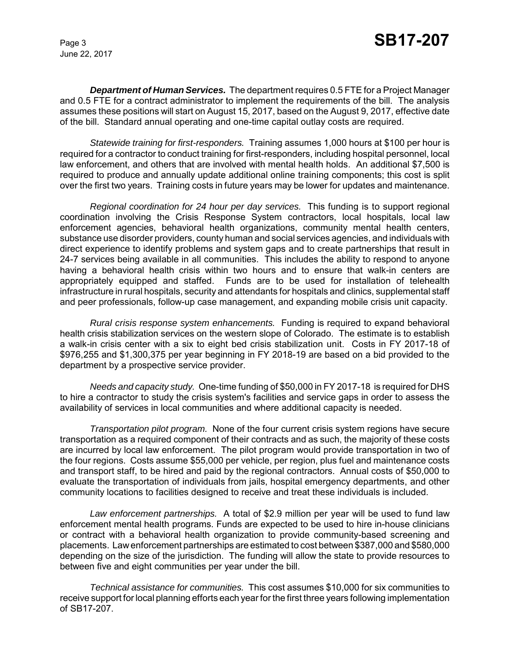*Department of Human Services.* The department requires 0.5 FTE for a Project Manager and 0.5 FTE for a contract administrator to implement the requirements of the bill. The analysis assumes these positions will start on August 15, 2017, based on the August 9, 2017, effective date of the bill. Standard annual operating and one-time capital outlay costs are required.

*Statewide training for first-responders.* Training assumes 1,000 hours at \$100 per hour is required for a contractor to conduct training for first-responders, including hospital personnel, local law enforcement, and others that are involved with mental health holds. An additional \$7,500 is required to produce and annually update additional online training components; this cost is split over the first two years. Training costs in future years may be lower for updates and maintenance.

*Regional coordination for 24 hour per day services.* This funding is to support regional coordination involving the Crisis Response System contractors, local hospitals, local law enforcement agencies, behavioral health organizations, community mental health centers, substance use disorder providers, county human and social services agencies, and individuals with direct experience to identify problems and system gaps and to create partnerships that result in 24-7 services being available in all communities. This includes the ability to respond to anyone having a behavioral health crisis within two hours and to ensure that walk-in centers are appropriately equipped and staffed. Funds are to be used for installation of telehealth infrastructure in rural hospitals, security and attendants for hospitals and clinics, supplemental staff and peer professionals, follow-up case management, and expanding mobile crisis unit capacity.

*Rural crisis response system enhancements.* Funding is required to expand behavioral health crisis stabilization services on the western slope of Colorado. The estimate is to establish a walk-in crisis center with a six to eight bed crisis stabilization unit. Costs in FY 2017-18 of \$976,255 and \$1,300,375 per year beginning in FY 2018-19 are based on a bid provided to the department by a prospective service provider.

*Needs and capacity study.* One-time funding of \$50,000 in FY 2017-18 is required for DHS to hire a contractor to study the crisis system's facilities and service gaps in order to assess the availability of services in local communities and where additional capacity is needed.

*Transportation pilot program.* None of the four current crisis system regions have secure transportation as a required component of their contracts and as such, the majority of these costs are incurred by local law enforcement. The pilot program would provide transportation in two of the four regions. Costs assume \$55,000 per vehicle, per region, plus fuel and maintenance costs and transport staff, to be hired and paid by the regional contractors. Annual costs of \$50,000 to evaluate the transportation of individuals from jails, hospital emergency departments, and other community locations to facilities designed to receive and treat these individuals is included.

*Law enforcement partnerships.* A total of \$2.9 million per year will be used to fund law enforcement mental health programs. Funds are expected to be used to hire in-house clinicians or contract with a behavioral health organization to provide community-based screening and placements. Law enforcement partnerships are estimated to cost between \$387,000 and \$580,000 depending on the size of the jurisdiction. The funding will allow the state to provide resources to between five and eight communities per year under the bill.

*Technical assistance for communities.* This cost assumes \$10,000 for six communities to receive support for local planning efforts each year for the first three years following implementation of SB17-207.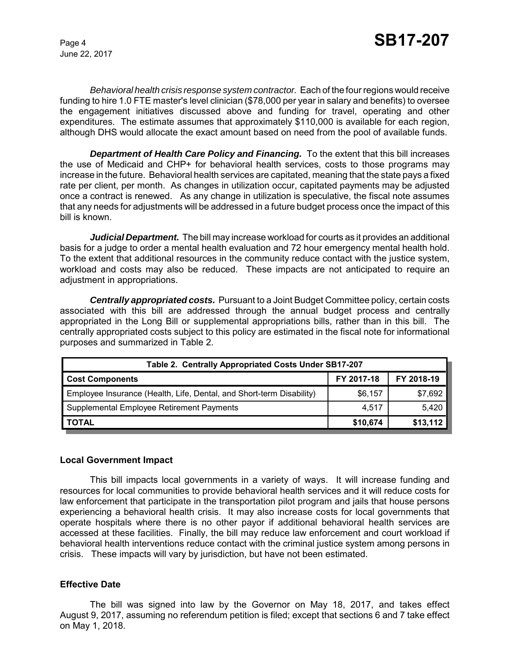*Behavioral health crisis response system contractor.* Each of the four regions would receive funding to hire 1.0 FTE master's level clinician (\$78,000 per year in salary and benefits) to oversee the engagement initiatives discussed above and funding for travel, operating and other expenditures. The estimate assumes that approximately \$110,000 is available for each region, although DHS would allocate the exact amount based on need from the pool of available funds.

*Department of Health Care Policy and Financing.* To the extent that this bill increases the use of Medicaid and CHP+ for behavioral health services, costs to those programs may increase in the future. Behavioral health services are capitated, meaning that the state pays a fixed rate per client, per month. As changes in utilization occur, capitated payments may be adjusted once a contract is renewed. As any change in utilization is speculative, the fiscal note assumes that any needs for adjustments will be addressed in a future budget process once the impact of this bill is known.

*Judicial Department.* The bill may increase workload for courts as it provides an additional basis for a judge to order a mental health evaluation and 72 hour emergency mental health hold. To the extent that additional resources in the community reduce contact with the justice system, workload and costs may also be reduced. These impacts are not anticipated to require an adjustment in appropriations.

*Centrally appropriated costs.* Pursuant to a Joint Budget Committee policy, certain costs associated with this bill are addressed through the annual budget process and centrally appropriated in the Long Bill or supplemental appropriations bills, rather than in this bill. The centrally appropriated costs subject to this policy are estimated in the fiscal note for informational purposes and summarized in Table 2.

| Table 2. Centrally Appropriated Costs Under SB17-207                 |            |            |  |  |  |
|----------------------------------------------------------------------|------------|------------|--|--|--|
| <b>Cost Components</b>                                               | FY 2017-18 | FY 2018-19 |  |  |  |
| Employee Insurance (Health, Life, Dental, and Short-term Disability) | \$6,157    | \$7,692    |  |  |  |
| Supplemental Employee Retirement Payments                            | 4,517      | 5,420      |  |  |  |
| <b>TOTAL</b>                                                         | \$10,674   | \$13,112   |  |  |  |

#### **Local Government Impact**

This bill impacts local governments in a variety of ways. It will increase funding and resources for local communities to provide behavioral health services and it will reduce costs for law enforcement that participate in the transportation pilot program and jails that house persons experiencing a behavioral health crisis. It may also increase costs for local governments that operate hospitals where there is no other payor if additional behavioral health services are accessed at these facilities. Finally, the bill may reduce law enforcement and court workload if behavioral health interventions reduce contact with the criminal justice system among persons in crisis. These impacts will vary by jurisdiction, but have not been estimated.

#### **Effective Date**

The bill was signed into law by the Governor on May 18, 2017, and takes effect August 9, 2017, assuming no referendum petition is filed; except that sections 6 and 7 take effect on May 1, 2018.